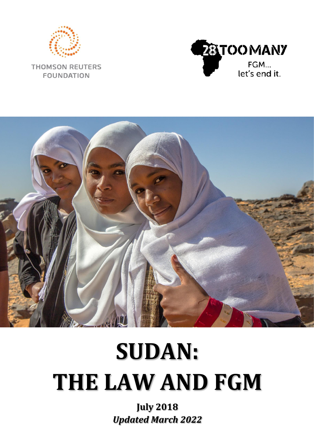

**THOMSON REUTERS FOUNDATION** 





# **SUDAN: THE LAW AND FGM**

**July 2018** *Updated March 2022*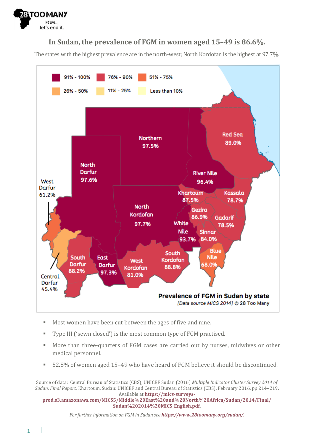

#### **In Sudan, the prevalence of FGM in women aged 15–49 is 86.6%.**

The states with the highest prevalence are in the north-west; North Kordofan is the highest at 97.7%.



- Most women have been cut between the ages of five and nine.
- Type III ('sewn closed') is the most common type of FGM practised.
- More than three-quarters of FGM cases are carried out by nurses, midwives or other medical personnel.
- 52.8% of women aged 15-49 who have heard of FGM believe it should be discontinued.

Source of data: Central Bureau of Statistics (CBS), UNICEF Sudan (2016) *Multiple Indicator Cluster Survey 2014 of Sudan, Final Report*. Khartoum, Sudan: UNICEF and Central Bureau of Statistics (CBS), February 2016, pp.214–219. Available at **[https://mics-surveys-](https://mics-surveys-prod.s3.amazonaws.com/MICS5/Middle%20East%20and%20North%20Africa/Sudan/2014/Final/Sudan%202014%20MICS_English.pdf)**

**[prod.s3.amazonaws.com/MICS5/Middle%20East%20and%20North%20Africa/Sudan/2014/Final/](https://mics-surveys-prod.s3.amazonaws.com/MICS5/Middle%20East%20and%20North%20Africa/Sudan/2014/Final/Sudan%202014%20MICS_English.pdf) [Sudan%202014%20MICS\\_English.pdf](https://mics-surveys-prod.s3.amazonaws.com/MICS5/Middle%20East%20and%20North%20Africa/Sudan/2014/Final/Sudan%202014%20MICS_English.pdf)**.

*For further information on FGM in Sudan see <https://www.28toomany.org/sudan/>.*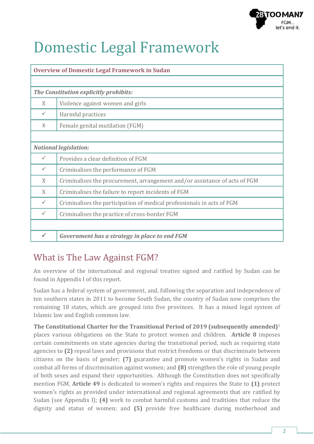

# Domestic Legal Framework

| <b>Overview of Domestic Legal Framework in Sudan</b> |                                                                            |  |  |  |  |
|------------------------------------------------------|----------------------------------------------------------------------------|--|--|--|--|
|                                                      |                                                                            |  |  |  |  |
| The Constitution explicitly prohibits:               |                                                                            |  |  |  |  |
| X                                                    | Violence against women and girls                                           |  |  |  |  |
| ✓                                                    | Harmful practices                                                          |  |  |  |  |
| $\times$                                             | Female genital mutilation (FGM)                                            |  |  |  |  |
|                                                      |                                                                            |  |  |  |  |
| <b>National legislation:</b>                         |                                                                            |  |  |  |  |
| ✓                                                    | Provides a clear definition of FGM                                         |  |  |  |  |
| $\checkmark$                                         | Criminalises the performance of FGM                                        |  |  |  |  |
| X                                                    | Criminalises the procurement, arrangement and/or assistance of acts of FGM |  |  |  |  |
| X                                                    | Criminalises the failure to report incidents of FGM                        |  |  |  |  |
| $\checkmark$                                         | Criminalises the participation of medical professionals in acts of FGM     |  |  |  |  |
| $\checkmark$                                         | Criminalises the practice of cross-border FGM                              |  |  |  |  |
|                                                      |                                                                            |  |  |  |  |
|                                                      | Government has a strategy in place to end FGM                              |  |  |  |  |

# What is The Law Against FGM?

An overview of the international and regional treaties signed and ratified by Sudan can be found in Appendix I of this report.

Sudan has a federal system of government, and, following the separation and independence of ten southern states in 2011 to become South Sudan, the country of Sudan now comprises the remaining 18 states, which are grouped into five provinces. It has a mixed legal system of Islamic law and English common law.

**The Constitutional Charter for the Transitional Period of 2019 (subsequently amended)**<sup>1</sup> places various obligations on the State to protect women and children. **Article 8** imposes certain commitments on state agencies during the transitional period, such as requiring state agencies to **(2)** repeal laws and provisions that restrict freedoms or that discriminate between citizens on the basis of gender; **(7)** guarantee and promote women's rights in Sudan and combat all forms of discrimination against women; and **(8)** strengthen the role of young people of both sexes and expand their opportunities. Although the Constitution does not specifically mention FGM, **Article 49** is dedicated to women's rights and requires the State to **(1)** protect women's rights as provided under international and regional agreements that are ratified by Sudan (see Appendix I); **(4)** work to combat harmful customs and traditions that reduce the dignity and status of women; and **(5)** provide free healthcare during motherhood and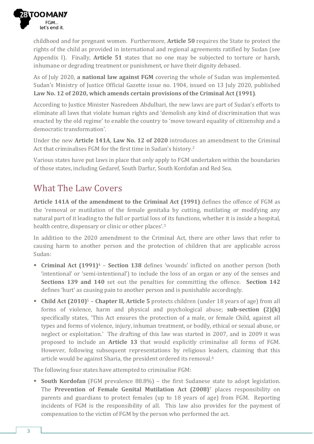

childhood and for pregnant women. Furthermore, **Article 50** requires the State to protect the rights of the child as provided in international and regional agreements ratified by Sudan (see Appendix I). Finally, **Article 51** states that no one may be subjected to torture or harsh, inhumane or degrading treatment or punishment, or have their dignity debased.

As of July 2020, **a national law against FGM** covering the whole of Sudan was implemented. Sudan's Ministry of Justice Official Gazette issue no. 1904, issued on 13 July 2020, published **Law No. 12 of 2020, which amends certain provisions of the Criminal Act (1991)**.

According to Justice Minister Nasredeen Abdulbari, the new laws are part of Sudan's efforts to eliminate all laws that violate human rights and 'demolish any kind of discrimination that was enacted by the old regime' to enable the country to 'move toward equality of citizenship and a democratic transformation'.

Under the new **Article 141A**, **Law No. 12 of 2020** introduces an amendment to the Criminal Act that criminalises FGM for the first time in Sudan's history.<sup>2</sup>

Various states have put laws in place that only apply to FGM undertaken within the boundaries of those states, including Gedaref, South Darfur, South Kordofan and Red Sea.

# What The Law Covers

**Article 141A of the amendment to the Criminal Act (1991)** defines the offence of FGM as the 'removal or mutilation of the female genitalia by cutting, mutilating or modifying any natural part of it leading to the full or partial loss of its functions, whether it is inside a hospital, health centre, dispensary or clinic or other places'.<sup>3</sup>

In addition to the 2020 amendment to the Criminal Act, there are other laws that refer to causing harm to another person and the protection of children that are applicable across Sudan:

- **Criminal Act (1991)**<sup>4</sup> **Section 138** defines 'wounds' inflicted on another person (both 'intentional' or 'semi-intentional') to include the loss of an organ or any of the senses and **Sections 139 and 140** set out the penalties for committing the offence. **Section 142** defines 'hurt' as causing pain to another person and is punishable accordingly.
- **Child Act (2010)**<sup>5</sup> **Chapter II, Article 5** protects children (under 18 years of age) from all forms of violence, harm and physical and psychological abuse; **sub-section (2)(k)** specifically states, 'This Act ensures the protection of a male, or female Child, against all types and forms of violence, injury, inhuman treatment, or bodily, ethical or sexual abuse, or neglect or exploitation.' The drafting of this law was started in 2007, and in 2009 it was proposed to include an **Article 13** that would explicitly criminalise all forms of FGM. However, following subsequent representations by religious leaders, claiming that this article would be against Sharia, the president ordered its removal.<sup>6</sup>

The following four states have attempted to criminalise FGM:

■ **South Kordofan** (FGM prevalence 88.8%) – the first Sudanese state to adopt legislation. The **Prevention of Female Genital Mutilation Act (2008)**<sup>7</sup> places responsibility on parents and guardians to protect females (up to 18 years of age) from FGM. Reporting incidents of FGM is the responsibility of all. This law also provides for the payment of compensation to the victim of FGM by the person who performed the act.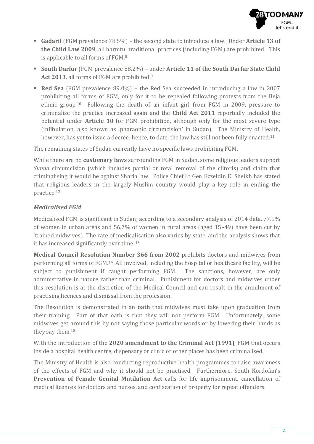

- **Gadarif** (FGM prevalence 78.5%) the second state to introduce a law. Under **Article 13 of the Child Law 2009**, all harmful traditional practices (including FGM) are prohibited. This is applicable to all forms of FGM.<sup>8</sup>
- **South Darfur** (FGM prevalence 88.2%) under **Article 11 of the South Darfur State Child Act 2013**, all forms of FGM are prohibited. 9
- **Red Sea** (FGM prevalence 89.0%) the Red Sea succeeded in introducing a law in 2007 prohibiting all forms of FGM, only for it to be repealed following protests from the Beja ethnic group.10 Following the death of an infant girl from FGM in 2009, pressure to criminalise the practice increased again and the **Child Act 2011** reportedly included the potential under **Article 10** for FGM prohibition, although only for the most severe type (infibulation, also known as 'pharaonic circumcision' in Sudan). The Ministry of Health, however, has yet to issue a decree; hence, to date, the law has still not been fully enacted.<sup>11</sup>

The remaining states of Sudan currently have no specific laws prohibiting FGM.

While there are no **customary laws** surrounding FGM in Sudan, some religious leaders support *Sunna* circumcision (which includes partial or total removal of the clitoris) and claim that criminalising it would be against Sharia law. Police Chief Lt Gen Ezzeldin El Sheikh has stated that religious leaders in the largely Muslim country would play a key role in ending the practice.<sup>12</sup>

#### *Medicalised FGM*

Medicalised FGM is significant in Sudan; according to a secondary analysis of 2014 data, 77.9% of women in urban areas and 56.7% of women in rural areas (aged 15–49) have been cut by 'trained midwives'. The rate of medicalisation also varies by state, and the analysis shows that it has increased significantly over time. <sup>13</sup>

**Medical Council Resolution Number 366 from 2002** prohibits doctors and midwives from performing all forms of FGM.14 All involved, including the hospital or healthcare facility, will be subject to punishment if caught performing FGM. The sanctions, however, are only administrative in nature rather than criminal. Punishment for doctors and midwives under this resolution is at the discretion of the Medical Council and can result in the annulment of practising licences and dismissal from the profession.

The Resolution is demonstrated in an **oath** that midwives must take upon graduation from their training. Part of that oath is that they will not perform FGM. Unfortunately, some midwives get around this by not saying those particular words or by lowering their hands as they say them. 15

With the introduction of the **2020 amendment to the Criminal Act (1991)**, FGM that occurs inside a hospital health centre, dispensary or clinic or other places has been criminalised.

The Ministry of Health is also conducting reproductive health programmes to raise awareness of the effects of FGM and why it should not be practised. Furthermore, South Kordofan's **Prevention of Female Genital Mutilation Act** calls for life imprisonment, cancellation of medical licences for doctors and nurses, and confiscation of property for repeat offenders.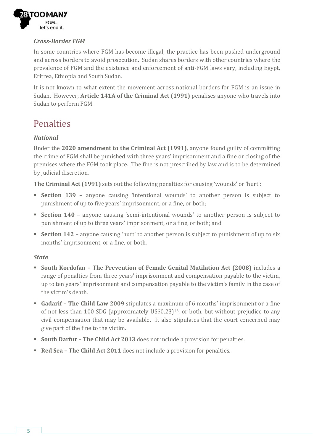

#### *Cross-Border FGM*

In some countries where FGM has become illegal, the practice has been pushed underground and across borders to avoid prosecution. Sudan shares borders with other countries where the prevalence of FGM and the existence and enforcement of anti-FGM laws vary, including Egypt, Eritrea, Ethiopia and South Sudan.

It is not known to what extent the movement across national borders for FGM is an issue in Sudan. However, **Article 141A of the Criminal Act (1991)** penalises anyone who travels into Sudan to perform FGM.

### Penalties

#### *National*

Under the **2020 amendment to the Criminal Act (1991)**, anyone found guilty of committing the crime of FGM shall be punished with three years' imprisonment and a fine or closing of the premises where the FGM took place. The fine is not prescribed by law and is to be determined by judicial discretion.

**The Criminal Act (1991)** sets out the following penalties for causing 'wounds' or 'hurt':

- **Section 139** anyone causing 'intentional wounds' to another person is subject to punishment of up to five years' imprisonment, or a fine, or both;
- **Section 140** anyone causing 'semi-intentional wounds' to another person is subject to punishment of up to three years' imprisonment, or a fine, or both; and
- **Section 142** anyone causing 'hurt' to another person is subject to punishment of up to six months' imprisonment, or a fine, or both.

#### *State*

- **South Kordofan – The Prevention of Female Genital Mutilation Act (2008)** includes a range of penalties from three years' imprisonment and compensation payable to the victim, up to ten years' imprisonment and compensation payable to the victim's family in the case of the victim's death.
- **Gadarif – The Child Law 2009** stipulates a maximum of 6 months' imprisonment or a fine of not less than 100 SDG (approximately US\$0.23) <sup>16</sup>, or both, but without prejudice to any civil compensation that may be available. It also stipulates that the court concerned may give part of the fine to the victim.
- **South Darfur – The Child Act 2013** does not include a provision for penalties.
- **Red Sea The Child Act 2011** does not include a provision for penalties.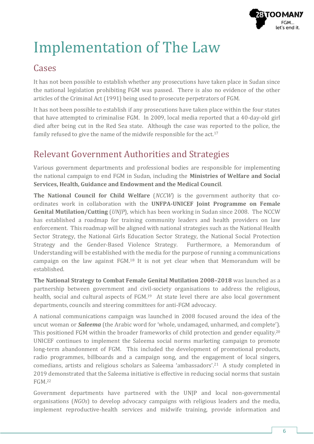

# Implementation of The Law

### **Cases**

It has not been possible to establish whether any prosecutions have taken place in Sudan since the national legislation prohibiting FGM was passed. There is also no evidence of the other articles of the Criminal Act (1991) being used to prosecute perpetrators of FGM.

It has not been possible to establish if any prosecutions have taken place within the four states that have attempted to criminalise FGM. In 2009, local media reported that a 40-day-old girl died after being cut in the Red Sea state. Although the case was reported to the police, the family refused to give the name of the midwife responsible for the act.<sup>17</sup>

# Relevant Government Authorities and Strategies

Various government departments and professional bodies are responsible for implementing the national campaign to end FGM in Sudan, including the **Ministries of Welfare and Social Services, Health, Guidance and Endowment and the Medical Council**.

**The National Council for Child Welfare** (*NCCW*) is the government authority that coordinates work in collaboration with the **UNFPA-UNICEF Joint Programme on Female Genital Mutilation/Cutting** (*UNJP*), which has been working in Sudan since 2008. The NCCW has established a roadmap for training community leaders and health providers on law enforcement. This roadmap will be aligned with national strategies such as the National Health Sector Strategy, the National Girls Education Sector Strategy, the National Social Protection Strategy and the Gender-Based Violence Strategy. Furthermore, a Memorandum of Understanding will be established with the media for the purpose of running a communications campaign on the law against FGM.<sup>18</sup> It is not yet clear when that Memorandum will be established.

**The National Strategy to Combat Female Genital Mutilation 2008–2018** was launched as a partnership between government and civil-society organisations to address the religious, health, social and cultural aspects of FGM.<sup>19</sup> At state level there are also local government departments, councils and steering committees for anti-FGM advocacy.

A national communications campaign was launched in 2008 focused around the idea of the uncut woman or *Saleema* (the Arabic word for 'whole, undamaged, unharmed, and complete'). This positioned FGM within the broader frameworks of child protection and gender equality.<sup>20</sup> UNICEF continues to implement the Saleema social norms marketing campaign to promote long-term abandonment of FGM. This included the development of promotional products, radio programmes, billboards and a campaign song, and the engagement of local singers, comedians, artists and religious scholars as Saleema 'ambassadors'.<sup>21</sup> A study completed in 2019 demonstrated that the Saleema initiative is effective in reducing social norms that sustain FGM.<sup>22</sup>

Government departments have partnered with the UNJP and local non-governmental organisations (*NGOs*) to develop advocacy campaigns with religious leaders and the media, implement reproductive-health services and midwife training, provide information and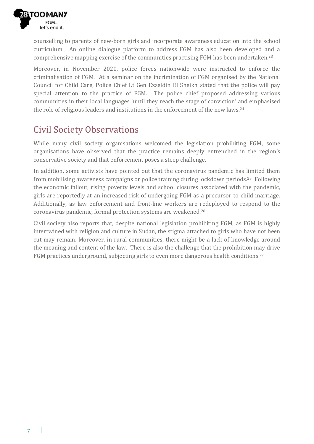

counselling to parents of new-born girls and incorporate awareness education into the school curriculum. An online dialogue platform to address FGM has also been developed and a comprehensive mapping exercise of the communities practising FGM has been undertaken.<sup>23</sup>

Moreover, in November 2020, police forces nationwide were instructed to enforce the criminalisation of FGM. At a seminar on the incrimination of FGM organised by the National Council for Child Care, Police Chief Lt Gen Ezzeldin El Sheikh stated that the police will pay special attention to the practice of FGM. The police chief proposed addressing various communities in their local languages 'until they reach the stage of conviction' and emphasised the role of religious leaders and institutions in the enforcement of the new laws.<sup>24</sup>

### Civil Society Observations

While many civil society organisations welcomed the legislation prohibiting FGM, some organisations have observed that the practice remains deeply entrenched in the region's conservative society and that enforcement poses a steep challenge.

In addition, some activists have pointed out that the coronavirus pandemic has limited them from mobilising awareness campaigns or police training during lockdown periods.25 Following the economic fallout, rising poverty levels and school closures associated with the pandemic, girls are reportedly at an increased risk of undergoing FGM as a precursor to child marriage. Additionally, as law enforcement and front-line workers are redeployed to respond to the coronavirus pandemic, formal protection systems are weakened.<sup>26</sup>

Civil society also reports that, despite national legislation prohibiting FGM, as FGM is highly intertwined with religion and culture in Sudan, the stigma attached to girls who have not been cut may remain. Moreover, in rural communities, there might be a lack of knowledge around the meaning and content of the law. There is also the challenge that the prohibition may drive FGM practices underground, subjecting girls to even more dangerous health conditions.<sup>27</sup>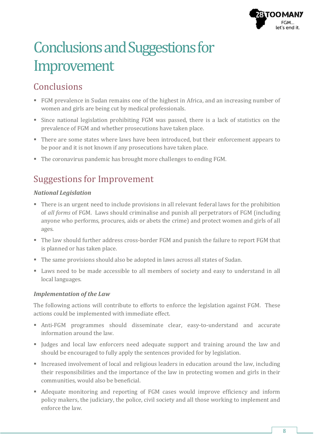

# Conclusions and Suggestions for Improvement

### Conclusions

- FGM prevalence in Sudan remains one of the highest in Africa, and an increasing number of women and girls are being cut by medical professionals.
- Since national legislation prohibiting FGM was passed, there is a lack of statistics on the prevalence of FGM and whether prosecutions have taken place.
- There are some states where laws have been introduced, but their enforcement appears to be poor and it is not known if any prosecutions have taken place.
- The coronavirus pandemic has brought more challenges to ending FGM.

# Suggestions for Improvement

#### *National Legislation*

- There is an urgent need to include provisions in all relevant federal laws for the prohibition of *all forms* of FGM. Laws should criminalise and punish all perpetrators of FGM (including anyone who performs, procures, aids or abets the crime) and protect women and girls of all ages.
- The law should further address cross-border FGM and punish the failure to report FGM that is planned or has taken place.
- The same provisions should also be adopted in laws across all states of Sudan.
- Laws need to be made accessible to all members of society and easy to understand in all local languages.

#### *Implementation of the Law*

The following actions will contribute to efforts to enforce the legislation against FGM. These actions could be implemented with immediate effect.

- Anti-FGM programmes should disseminate clear, easy-to-understand and accurate information around the law.
- Judges and local law enforcers need adequate support and training around the law and should be encouraged to fully apply the sentences provided for by legislation.
- Increased involvement of local and religious leaders in education around the law, including their responsibilities and the importance of the law in protecting women and girls in their communities, would also be beneficial.
- Adequate monitoring and reporting of FGM cases would improve efficiency and inform policy makers, the judiciary, the police, civil society and all those working to implement and enforce the law.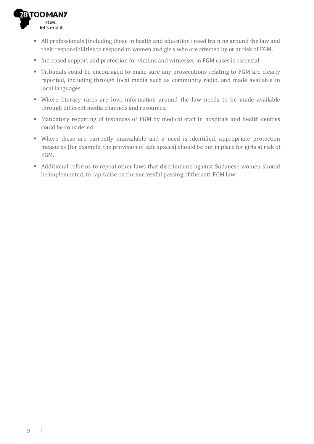

- All professionals (including those in health and education) need training around the law and their responsibilities to respond to women and girls who are affected by or at risk of FGM.
- Increased support and protection for victims and witnesses in FGM cases is essential.
- Tribunals could be encouraged to make sure any prosecutions relating to FGM are clearly reported, including through local media such as community radio, and made available in local languages.
- Where literacy rates are low, information around the law needs to be made available through different media channels and resources.
- Mandatory reporting of instances of FGM by medical staff in hospitals and health centres could be considered.
- Where these are currently unavailable and a need is identified, appropriate protection measures (for example, the provision of safe spaces) should be put in place for girls at risk of FGM.
- Additional reforms to repeal other laws that discriminate against Sudanese women should be implemented, to capitalise on the successful passing of the anti-FGM law.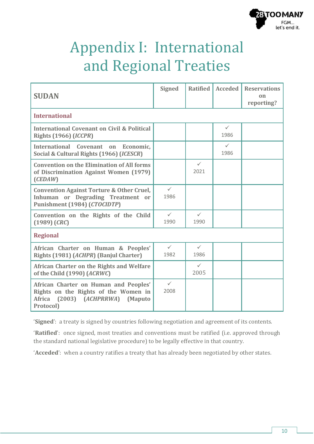

# Appendix I: International and Regional Treaties

| <b>SUDAN</b>                                                                                                                                            | <b>Signed</b>        | <b>Ratified</b>      | <b>Acceded</b>       | <b>Reservations</b><br>$_{0n}$<br>reporting? |  |  |
|---------------------------------------------------------------------------------------------------------------------------------------------------------|----------------------|----------------------|----------------------|----------------------------------------------|--|--|
| <b>International</b>                                                                                                                                    |                      |                      |                      |                                              |  |  |
| <b>International Covenant on Civil &amp; Political</b><br><b>Rights (1966) (ICCPR)</b>                                                                  |                      |                      | $\checkmark$<br>1986 |                                              |  |  |
| International Covenant on Economic,<br>Social & Cultural Rights (1966) (ICESCR)                                                                         |                      |                      | $\checkmark$<br>1986 |                                              |  |  |
| <b>Convention on the Elimination of All forms</b><br>of Discrimination Against Women (1979)<br>(CEDAW)                                                  |                      | $\checkmark$<br>2021 |                      |                                              |  |  |
| <b>Convention Against Torture &amp; Other Cruel,</b><br>Inhuman or Degrading Treatment or<br>Punishment (1984) (CTOCIDTP)                               | $\checkmark$<br>1986 |                      |                      |                                              |  |  |
| Convention on the Rights of the Child<br>$(1989)$ $(CRC)$                                                                                               | $\checkmark$<br>1990 | $\checkmark$<br>1990 |                      |                                              |  |  |
| <b>Regional</b>                                                                                                                                         |                      |                      |                      |                                              |  |  |
| African Charter on Human & Peoples'<br>Rights (1981) (ACHPR) (Banjul Charter)                                                                           | $\checkmark$<br>1982 | $\checkmark$<br>1986 |                      |                                              |  |  |
| African Charter on the Rights and Welfare<br>of the Child (1990) (ACRWC)                                                                                |                      | $\checkmark$<br>2005 |                      |                                              |  |  |
| African Charter on Human and Peoples'<br>Rights on the Rights of the Women in<br><b>Africa</b><br>$(2003)$ $(ACHPRRWA)$<br><b>(Maputo)</b><br>Protocol) | $\checkmark$<br>2008 |                      |                      |                                              |  |  |

'**Signed**': a treaty is signed by countries following negotiation and agreement of its contents.

'**Ratified**': once signed, most treaties and conventions must be ratified (i.e. approved through the standard national legislative procedure) to be legally effective in that country.

'**Acceded**': when a country ratifies a treaty that has already been negotiated by other states.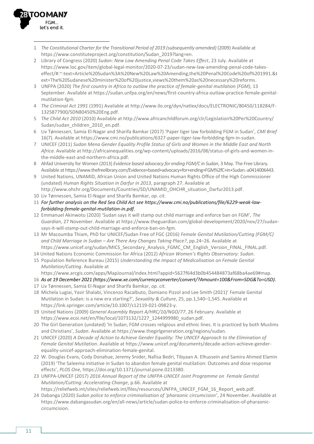

- 1 *The Constitutional Charter for the Transitional Period of 2019 (subsequently amended)* (2009) Available at [https://www.constituteproject.org/constitution/Sudan\\_2019?lang=en.](https://www.constituteproject.org/constitution/Sudan_2019?lang=en)
- 2 Library of Congress (2020) *Sudan: New Law Amending Penal Code Takes Effect*, 23 July. Available at [https://www.loc.gov/item/global-legal-monitor/2020-07-23/sudan-new-law-amending-penal-code-takes](https://www.loc.gov/item/global-legal-monitor/2020-07-23/sudan-new-law-amending-penal-code-takes-effect/#:~:text=Article%20Sudan%3A%20New%20Law%20Amending,the%20Penal%20Code%20of%201991.&text=The%20Sudanese%20minister%20of%20justice,views%20them%20as%20necessary%20reforms)[effect/#:~:text=Article%20Sudan%3A%20New%20Law%20Amending,the%20Penal%20Code%20of%201991.&t](https://www.loc.gov/item/global-legal-monitor/2020-07-23/sudan-new-law-amending-penal-code-takes-effect/#:~:text=Article%20Sudan%3A%20New%20Law%20Amending,the%20Penal%20Code%20of%201991.&text=The%20Sudanese%20minister%20of%20justice,views%20them%20as%20necessary%20reforms) [ext=The%20Sudanese%20minister%20of%20justice,views%20them%20as%20necessary%20reforms.](https://www.loc.gov/item/global-legal-monitor/2020-07-23/sudan-new-law-amending-penal-code-takes-effect/#:~:text=Article%20Sudan%3A%20New%20Law%20Amending,the%20Penal%20Code%20of%201991.&text=The%20Sudanese%20minister%20of%20justice,views%20them%20as%20necessary%20reforms)
- 3 UNFPA (2020) *The first country in Africa to outlaw the practice of female-genital mutilation (FGM)*, 13 September. Available at [https://sudan.unfpa.org/en/news/first-country-africa-outlaw-practice-female-genital](https://sudan.unfpa.org/en/news/first-country-africa-outlaw-practice-female-genital-mutilation-fgm)[mutilation-fgm.](https://sudan.unfpa.org/en/news/first-country-africa-outlaw-practice-female-genital-mutilation-fgm)
- 4 *The Criminal Act 1991* (1991) Available a[t http://www.ilo.org/dyn/natlex/docs/ELECTRONIC/80450/118284/F-](http://www.ilo.org/dyn/natlex/docs/ELECTRONIC/80450/118284/F-1325877900/SDN80450%20Eng.pdf)[1325877900/SDN80450%20Eng.pdf.](http://www.ilo.org/dyn/natlex/docs/ELECTRONIC/80450/118284/F-1325877900/SDN80450%20Eng.pdf)
- 5 *The Child Act 2010* (2010) Available at [http://www.africanchildforum.org/clr/Legislation%20Per%20Country/](http://www.africanchildforum.org/clr/Legislation%20Per%20Country/Sudan/sudan_children_2010_en.pdf) [Sudan/sudan\\_children\\_2010\\_en.pdf.](http://www.africanchildforum.org/clr/Legislation%20Per%20Country/Sudan/sudan_children_2010_en.pdf)
- 6 Liv Tønnessen, Samia El-Nagar and Sharifa Bamkar (2017) 'Paper tiger law forbidding FGM in Sudan', *CMI Brief*  16(7). Available a[t https://www.cmi.no/publications/6327-paper-tiger-law-forbidding-fgm-in-sudan.](https://www.cmi.no/publications/6327-paper-tiger-law-forbidding-fgm-in-sudan)
- 7 UNICEF (2011) *Sudan Mena Gender Equality Profile Status of Girls and Women in the Middle East and North Africa*. Available at [http://africainequalities.org/wp-content/uploads/2016/08/status-of-girls-and-women-in](http://africainequalities.org/wp-content/uploads/2016/08/status-of-girls-and-women-in-the-middle-east-and-northern-africa.pdf)[the-middle-east-and-northern-africa.pdf.](http://africainequalities.org/wp-content/uploads/2016/08/status-of-girls-and-women-in-the-middle-east-and-northern-africa.pdf)
- 8 Ahfad University for Women (2013) *Evidence based advocacy for ending FGM/C in Sudan*, 3 May. The Free Library. Available a[t https://www.thefreelibrary.com/Evidence+based+advocacy+for+ending+FGM%2fC+in+Sudan.-a0414006443.](https://www.thefreelibrary.com/Evidence+based+advocacy+for+ending+FGM%2fC+in+Sudan.-a0414006443)
- 9 United Nations, UNAMID, African Union and United Nations Human Rights Office of the High Commissioner (undated) *Human Rights Situation in Darfur in 2013*, paragraph 27. Available at [http://www.ohchr.org/Documents/Countries/SD/UNAMID\\_OHCHR\\_situation\\_Darfur2013.pdf.](http://www.ohchr.org/Documents/Countries/SD/UNAMID_OHCHR_situation_Darfur2013.pdf)
- 10 Liv Tønnessen, Samia El-Nagar and Sharifa Bamkar, *op. cit.*
- 11 *For further analysis on the Red Sea Child Act se[e https://www.cmi.no/publications/file/6229-weak-law](https://www.cmi.no/publications/file/6229-weak-law-forbidding-female-genital-mutilation-in.pdf)[forbidding-female-genital-mutilation-in.pdf.](https://www.cmi.no/publications/file/6229-weak-law-forbidding-female-genital-mutilation-in.pdf)*
- 12 Emmanuel Akinwotu (2020) 'Sudan says it will stamp out child marriage and enforce ban on FGM', *The Guardian*, 27 November. Available at [https://www.theguardian.com/global-development/2020/nov/27/sudan](https://www.theguardian.com/global-development/2020/nov/27/sudan-says-it-will-stamp-out-child-marriage-and-enforce-ban-on-fgm)[says-it-will-stamp-out-child-marriage-and-enforce-ban-on-fgm.](https://www.theguardian.com/global-development/2020/nov/27/sudan-says-it-will-stamp-out-child-marriage-and-enforce-ban-on-fgm)
- 13 Mr Macoumba Thiam, PhD for UNICEF/Sudan Free of FGC (2016) *Female Genital Mutilation/Cutting (FGM/C) and Child Marriage in Sudan – Are There Any Changes Taking Place?*, pp.24–26. Available at [https://www.unicef.org/sudan/MICS\\_Secondary\\_Analysis\\_FGMC\\_CM\\_English\\_Version\\_FINAL\\_FINAL.pdf.](https://www.unicef.org/sudan/MICS_Secondary_Analysis_FGMC_CM_English_Version_FINAL_FINAL.pdf)
- 14 United Nations Economic Commission for Africa (2012) *African Women's Rights Observatory: Sudan*.
- 15 Population Reference Bureau (2015) *Understanding the Impact of Medicalisation on Female Genital Mutilation/Cutting*. Available at
	- [https://www.arcgis.com/apps/MapJournal/index.html?appid=5627f64d3b0b454484873af68ba4ae69#map.](https://www.arcgis.com/apps/MapJournal/index.html?appid=5627f64d3b0b454484873af68ba4ae69#map)
- 16 *As at 19 December 2021 [\(https://www.xe.com/currencyconverter/convert/?Amount=100&From=SDG&To=USD\)](https://www.xe.com/currencyconverter/convert/?Amount=100&From=SDG&To=USD).*
- 17 Liv Tønnessen, Samia El-Nagar and Sharifa Bamkar, *op. cit.*
- 18 Michela Lugiai, Yasir Shalabi, Vincenzo Racalbuto, Damiano Pizzol and Lee Smith (2021)' Female Genital Mutilation in Sudan: is a new era starting?', *Sexuality & Culture*, 25, pp.1,540–1,545. Available at [https://link.springer.com/article/10.1007/s12119-021-09823-y.](https://link.springer.com/article/10.1007/s12119-021-09823-y)
- 19 United Nations (2009) *General Assembly Report A/HRC/10/NGO/77*, 26 February. Available at [https://www.ecoi.net/en/file/local/1073132/1227\\_1244999980\\_sudan.pdf.](https://www.ecoi.net/en/file/local/1073132/1227_1244999980_sudan.pdf)
- 20 The Girl Generation (undated) 'In Sudan, FGM crosses religious and ethnic lines. It is practiced by both Muslims and Christians', *Sudan*. Available at [https://www.thegirlgeneration.org/regions/sudan.](https://www.thegirlgeneration.org/regions/sudan)
- 21 UNICEF (2020) *A Decade of Action to Achieve Gender Equality: The UNICEF Approach to the Elimination of Female Genital Mutilation*. Available a[t https://www.unicef.org/documents/decade-action-achieve-gender](https://www.unicef.org/documents/decade-action-achieve-gender-equality-unicef-approach-elimination-female-genital)[equality-unicef-approach-elimination-female-genital.](https://www.unicef.org/documents/decade-action-achieve-gender-equality-unicef-approach-elimination-female-genital)
- 22 W. Douglas Evans, Cody Donahue, Jeremy Snider, Nafisa Bedri, Tibyaan A. Elhussein and Samira Ahmed Elamin (2019) 'The Saleema initiative in Sudan to abandon female genital mutilation: Outcomes and dose response effects', *PLOS One*[, https://doi.org/10.1371/journal.pone.0213380.](https://doi.org/10.1371/journal.pone.0213380)
- 23 UNFPA-UNICEF (2017) *2016 Annual Report of the UNFPA-UNICEF Joint Programme on Female Genital Mutilation/Cutting: Accelerating Change*, p.66. Available at
- [https://reliefweb.int/sites/reliefweb.int/files/resources/UNFPA\\_UNICEF\\_FGM\\_16\\_Report\\_web.pdf.](https://reliefweb.int/sites/reliefweb.int/files/resources/UNFPA_UNICEF_FGM_16_Report_web.pdf) 24 Dabanga (2020) *Sudan police to enforce criminalisation of 'pharaonic circumcision'*, 24 November. Available at [https://www.dabangasudan.org/en/all-news/article/sudan-police-to-enforce-criminalisation-of-pharaonic](https://www.dabangasudan.org/en/all-news/article/sudan-police-to-enforce-criminalisation-of-pharaonic-circumcision)[circumcision.](https://www.dabangasudan.org/en/all-news/article/sudan-police-to-enforce-criminalisation-of-pharaonic-circumcision)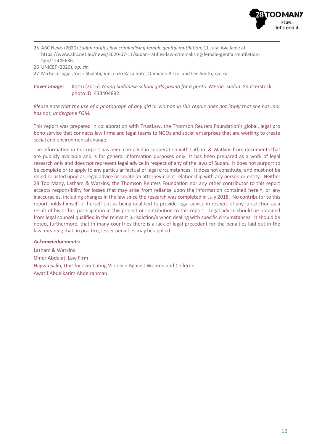

- 25 ABC News (2020) *Sudan ratifies law criminalising female genital mutilation*, 11 July. Available at [https://www.abc.net.au/news/2020-07-11/sudan-ratifies-law-criminalising-female-genital-mutilation](https://www.abc.net.au/news/2020-07-11/sudan-ratifies-law-criminalising-female-genital-mutilation-fgm/12445686)[fgm/12445686.](https://www.abc.net.au/news/2020-07-11/sudan-ratifies-law-criminalising-female-genital-mutilation-fgm/12445686)
- 26 UNICEF (2020), *op. cit.*
- 27 Michela Lugiai, Yasir Shalabi, Vincenzo Racalbuto, Damiano Pizzol and Lee Smith, *op. cit.*

*Cover image:* Kertu (2015) *Young Sudanese school girls posing for a photo. Meroe, Sudan.* Shutterstock photo ID: 433404892.

*Please note that the use of a photograph of any girl or woman in this report does not imply that she has, nor has not, undergone FGM.*

This report was prepared in collaboration with TrustLaw, the Thomson Reuters Foundation's global, legal pro bono service that connects law firms and legal teams to NGOs and social enterprises that are working to create social and environmental change.

The information in this report has been compiled in cooperation with Latham & Watkins from documents that are publicly available and is for general information purposes only. It has been prepared as a work of legal research only and does not represent legal advice in respect of any of the laws of Sudan. It does not purport to be complete or to apply to any particular factual or legal circumstances. It does not constitute, and must not be relied or acted upon as, legal advice or create an attorney-client relationship with any person or entity. Neither 28 Too Many, Latham & Watkins, the Thomson Reuters Foundation nor any other contributor to this report accepts responsibility for losses that may arise from reliance upon the information contained herein, or any inaccuracies, including changes in the law since the research was completed in July 2018. No contributor to this report holds himself or herself out as being qualified to provide legal advice in respect of any jurisdiction as a result of his or her participation in this project or contribution to this report. Legal advice should be obtained from legal counsel qualified in the relevant jurisdiction/s when dealing with specific circumstances. It should be noted, furthermore, that in many countries there is a lack of legal precedent for the penalties laid out in the law, meaning that, in practice, lesser penalties may be applied.

#### *Acknowledgements***:**

Latham & Watkins Omer Abdelati Law Firm Nagwa Salih, Unit for Combating Violence Against Women and Children Awatif Abdelkarim Abdelrahman